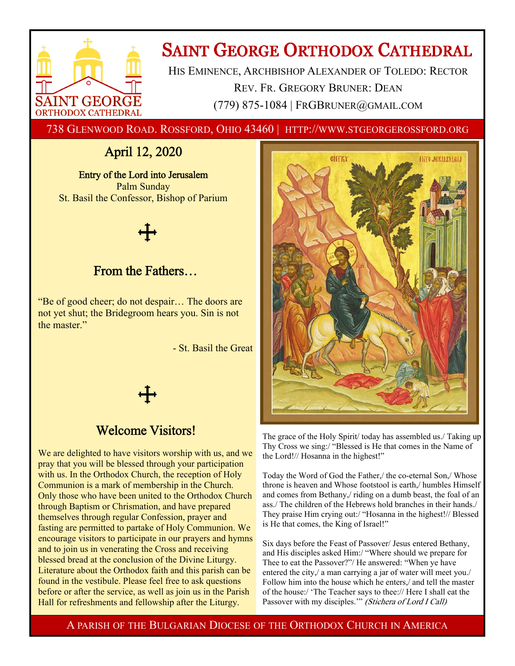

# **SAINT GEORGE ORTHODOX CATHEDRAL**

HIS EMINENCE, ARCHBISHOP ALEXANDER OF TOLEDO: RECTOR REV. FR. GREGORY BRUNER: DEAN (779) 875-1084 | FRGBRUNER@GMAIL.COM

738 GLENWOOD ROAD. ROSSFORD, OHIO 43460 | HTTP://WWW.STGEORGEROSSFORD.ORG

## April 12, 2020

Entry of the Lord into Jerusalem Palm Sunday St. Basil the Confessor, Bishop of Parium

## From the Fathers…

"Be of good cheer; do not despair… The doors are not yet shut; the Bridegroom hears you. Sin is not the master."

- St. Basil the Great



## Welcome Visitors!

We are delighted to have visitors worship with us, and we pray that you will be blessed through your participation with us. In the Orthodox Church, the reception of Holy Communion is a mark of membership in the Church. Only those who have been united to the Orthodox Church through Baptism or Chrismation, and have prepared themselves through regular Confession, prayer and fasting are permitted to partake of Holy Communion. We encourage visitors to participate in our prayers and hymns and to join us in venerating the Cross and receiving blessed bread at the conclusion of the Divine Liturgy. Literature about the Orthodox faith and this parish can be found in the vestibule. Please feel free to ask questions before or after the service, as well as join us in the Parish Hall for refreshments and fellowship after the Liturgy.



The grace of the Holy Spirit/ today has assembled us./ Taking up Thy Cross we sing:/ "Blessed is He that comes in the Name of the Lord!// Hosanna in the highest!"

Today the Word of God the Father,/ the co-eternal Son,/ Whose throne is heaven and Whose footstool is earth,/ humbles Himself and comes from Bethany,/ riding on a dumb beast, the foal of an ass./ The children of the Hebrews hold branches in their hands./ They praise Him crying out:/ "Hosanna in the highest!// Blessed is He that comes, the King of Israel!"

Six days before the Feast of Passover/ Jesus entered Bethany, and His disciples asked Him:/ "Where should we prepare for Thee to eat the Passover?"/ He answered: "When ye have entered the city,/ a man carrying a jar of water will meet you./ Follow him into the house which he enters,/ and tell the master of the house:/ 'The Teacher says to thee:// Here I shall eat the Passover with my disciples."" (Stichera of Lord I Call)

A PARISH OF THE BULGARIAN DIOCESE OF THE ORTHODOX CHURCH IN AMERICA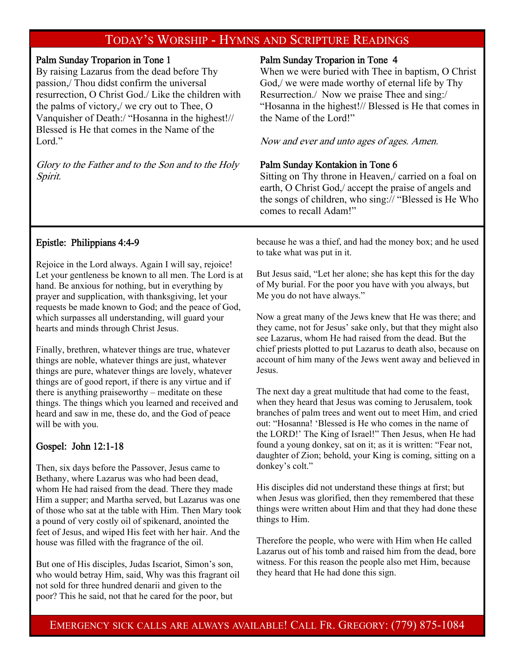## TODAY'S WORSHIP - HYMNS AND SCRIPTURE READINGS

#### Palm Sunday Troparion in Tone 1

By raising Lazarus from the dead before Thy passion,/ Thou didst confirm the universal resurrection, O Christ God./ Like the children with the palms of victory,/ we cry out to Thee, O Vanquisher of Death:/ "Hosanna in the highest!// Blessed is He that comes in the Name of the Lord."

Glory to the Father and to the Son and to the Holy Spirit.

#### Palm Sunday Troparion in Tone 4

When we were buried with Thee in baptism, O Christ God,/ we were made worthy of eternal life by Thy Resurrection./ Now we praise Thee and sing:/ "Hosanna in the highest!// Blessed is He that comes in the Name of the Lord!"

Now and ever and unto ages of ages. Amen.

#### Palm Sunday Kontakion in Tone 6

Sitting on Thy throne in Heaven,/ carried on a foal on earth, O Christ God,/ accept the praise of angels and the songs of children, who sing:// "Blessed is He Who comes to recall Adam!"

#### Epistle: Philippians 4:4-9

Rejoice in the Lord always. Again I will say, rejoice! Let your gentleness be known to all men. The Lord is at hand. Be anxious for nothing, but in everything by prayer and supplication, with thanksgiving, let your requests be made known to God; and the peace of God, which surpasses all understanding, will guard your hearts and minds through Christ Jesus.

Finally, brethren, whatever things are true, whatever things are noble, whatever things are just, whatever things are pure, whatever things are lovely, whatever things are of good report, if there is any virtue and if there is anything praiseworthy – meditate on these things. The things which you learned and received and heard and saw in me, these do, and the God of peace will be with you.

#### Gospel: John 12:1-18

Then, six days before the Passover, Jesus came to Bethany, where Lazarus was who had been dead, whom He had raised from the dead. There they made Him a supper; and Martha served, but Lazarus was one of those who sat at the table with Him. Then Mary took a pound of very costly oil of spikenard, anointed the feet of Jesus, and wiped His feet with her hair. And the house was filled with the fragrance of the oil.

But one of His disciples, Judas Iscariot, Simon's son, who would betray Him, said, Why was this fragrant oil not sold for three hundred denarii and given to the poor? This he said, not that he cared for the poor, but

because he was a thief, and had the money box; and he used to take what was put in it.

But Jesus said, "Let her alone; she has kept this for the day of My burial. For the poor you have with you always, but Me you do not have always."

Now a great many of the Jews knew that He was there; and they came, not for Jesus' sake only, but that they might also see Lazarus, whom He had raised from the dead. But the chief priests plotted to put Lazarus to death also, because on account of him many of the Jews went away and believed in Jesus.

The next day a great multitude that had come to the feast, when they heard that Jesus was coming to Jerusalem, took branches of palm trees and went out to meet Him, and cried out: "Hosanna! 'Blessed is He who comes in the name of the LORD!' The King of Israel!" Then Jesus, when He had found a young donkey, sat on it; as it is written: "Fear not, daughter of Zion; behold, your King is coming, sitting on a donkey's colt."

His disciples did not understand these things at first; but when Jesus was glorified, then they remembered that these things were written about Him and that they had done these things to Him.

Therefore the people, who were with Him when He called Lazarus out of his tomb and raised him from the dead, bore witness. For this reason the people also met Him, because they heard that He had done this sign.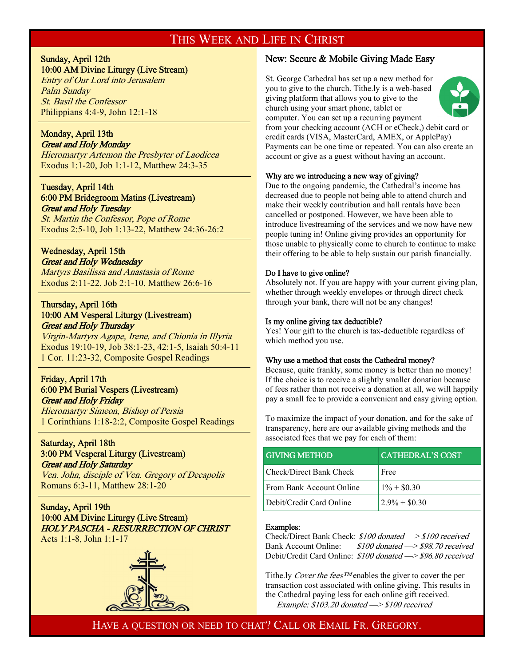### THIS WEEK AND LIFE IN CHRIST

#### Sunday, April 12th 10:00 AM Divine Liturgy (Live Stream)

Entry of Our Lord into Jerusalem Palm Sunday St. Basil the Confessor Philippians 4:4-9, John 12:1-18

#### Monday, April 13th Great and Holy Monday

 $\overline{a}$ 

 $\overline{a}$ 

 $\overline{a}$ 

 $\overline{a}$ 

Hieromartyr Artemon the Presbyter of Laodicea Exodus 1:1-20, Job 1:1-12, Matthew 24:3-35

#### Tuesday, April 14th 6:00 PM Bridegroom Matins (Livestream) Great and Holy Tuesday

St. Martin the Confessor, Pope of Rome Exodus 2:5-10, Job 1:13-22, Matthew 24:36-26:2

#### Wednesday, April 15th Great and Holy Wednesday

Martyrs Basilissa and Anastasia of Rome Exodus 2:11-22, Job 2:1-10, Matthew 26:6-16

#### Thursday, April 16th 10:00 AM Vesperal Liturgy (Livestream) Great and Holy Thursday

Virgin-Martyrs Agape, Irene, and Chionia in Illyria Exodus 19:10-19, Job 38:1-23, 42:1-5, Isaiah 50:4-11 1 Cor. 11:23-32, Composite Gospel Readings

#### Friday, April 17th 6:00 PM Burial Vespers (Livestream) Great and Holy Friday

Hieromartyr Simeon, Bishop of Persia 1 Corinthians 1:18-2:2, Composite Gospel Readings

#### Saturday, April 18th 3:00 PM Vesperal Liturgy (Livestream) Great and Holy Saturday

Ven. John, disciple of Ven. Gregory of Decapolis Romans 6:3-11, Matthew 28:1-20

#### Sunday, April 19th 10:00 AM Divine Liturgy (Live Stream) HOLY PASCHA - RESURRECTION OF CHRIST Acts 1:1-8, John 1:1-17



#### New: Secure & Mobile Giving Made Easy

St. George Cathedral has set up a new method for you to give to the church. Tithe.ly is a web-based giving platform that allows you to give to the church using your smart phone, tablet or computer. You can set up a recurring payment



from your checking account (ACH or eCheck,) debit card or credit cards (VISA, MasterCard, AMEX, or ApplePay) Payments can be one time or repeated. You can also create an account or give as a guest without having an account.

#### Why are we introducing a new way of giving?

Due to the ongoing pandemic, the Cathedral's income has decreased due to people not being able to attend church and make their weekly contribution and hall rentals have been cancelled or postponed. However, we have been able to introduce livestreaming of the services and we now have new people tuning in! Online giving provides an opportunity for those unable to physically come to church to continue to make their offering to be able to help sustain our parish financially.

#### Do I have to give online?

Absolutely not. If you are happy with your current giving plan, whether through weekly envelopes or through direct check through your bank, there will not be any changes!

#### Is my online giving tax deductible?

Yes! Your gift to the church is tax-deductible regardless of which method you use.

#### Why use a method that costs the Cathedral money?

Because, quite frankly, some money is better than no money! If the choice is to receive a slightly smaller donation because of fees rather than not receive a donation at all, we will happily pay a small fee to provide a convenient and easy giving option.

To maximize the impact of your donation, and for the sake of transparency, here are our available giving methods and the associated fees that we pay for each of them:

| <b>GIVING METHOD</b>            | <b>CATHEDRAL'S COST</b> |
|---------------------------------|-------------------------|
| Check/Direct Bank Check         | Free                    |
| <b>From Bank Account Online</b> | $1\% + \$0.30$          |
| Debit/Credit Card Online        | $2.9\% + $0.30$         |

#### Examples:

Check/Direct Bank Check: \$100 donated —> \$100 received Bank Account Online: \$100 donated -> \$98.70 received Debit/Credit Card Online: \$100 donated —> \$96.80 received

Tithe.ly Cover the fees<sup>TM</sup> enables the giver to cover the per transaction cost associated with online giving. This results in the Cathedral paying less for each online gift received. Example: \$103.20 donated —> \$100 received

HAVE A QUESTION OR NEED TO CHAT? CALL OR EMAIL FR. GREGORY.